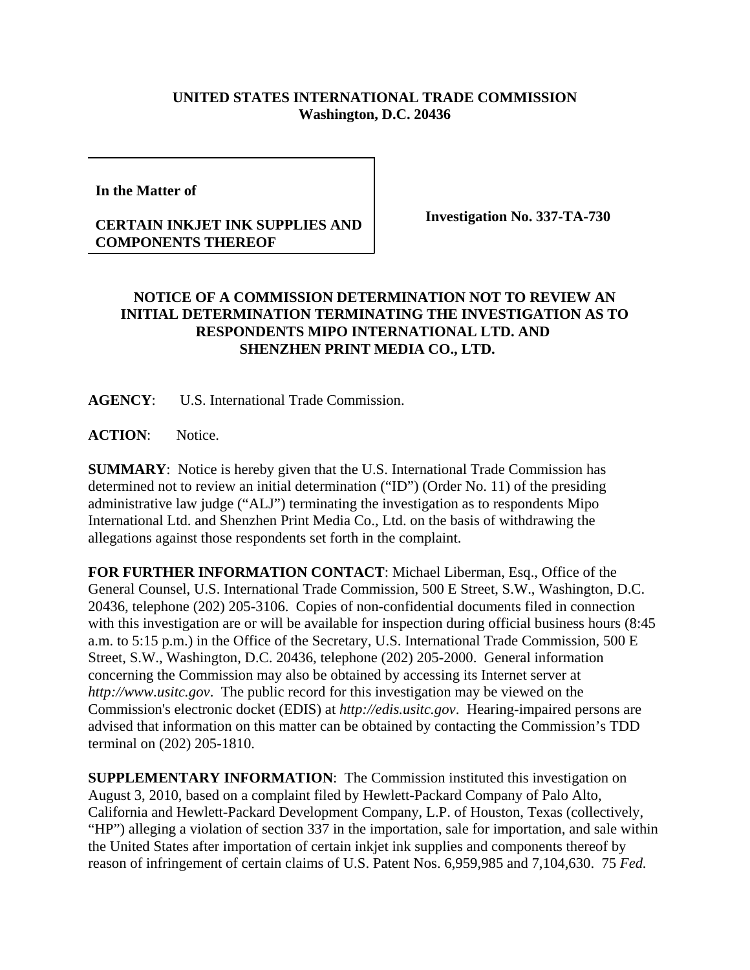## **UNITED STATES INTERNATIONAL TRADE COMMISSION Washington, D.C. 20436**

**In the Matter of** 

## **CERTAIN INKJET INK SUPPLIES AND COMPONENTS THEREOF**

**Investigation No. 337-TA-730**

## **NOTICE OF A COMMISSION DETERMINATION NOT TO REVIEW AN INITIAL DETERMINATION TERMINATING THE INVESTIGATION AS TO RESPONDENTS MIPO INTERNATIONAL LTD. AND SHENZHEN PRINT MEDIA CO., LTD.**

**AGENCY**: U.S. International Trade Commission.

ACTION: Notice.

**SUMMARY**: Notice is hereby given that the U.S. International Trade Commission has determined not to review an initial determination ("ID") (Order No. 11) of the presiding administrative law judge ("ALJ") terminating the investigation as to respondents Mipo International Ltd. and Shenzhen Print Media Co., Ltd. on the basis of withdrawing the allegations against those respondents set forth in the complaint.

**FOR FURTHER INFORMATION CONTACT**: Michael Liberman, Esq., Office of the General Counsel, U.S. International Trade Commission, 500 E Street, S.W., Washington, D.C. 20436, telephone (202) 205-3106. Copies of non-confidential documents filed in connection with this investigation are or will be available for inspection during official business hours (8:45 a.m. to 5:15 p.m.) in the Office of the Secretary, U.S. International Trade Commission, 500 E Street, S.W., Washington, D.C. 20436, telephone (202) 205-2000. General information concerning the Commission may also be obtained by accessing its Internet server at *http://www.usitc.gov*. The public record for this investigation may be viewed on the Commission's electronic docket (EDIS) at *http://edis.usitc.gov*. Hearing-impaired persons are advised that information on this matter can be obtained by contacting the Commission's TDD terminal on (202) 205-1810.

**SUPPLEMENTARY INFORMATION:** The Commission instituted this investigation on August 3, 2010, based on a complaint filed by Hewlett-Packard Company of Palo Alto, California and Hewlett-Packard Development Company, L.P. of Houston, Texas (collectively, "HP") alleging a violation of section 337 in the importation, sale for importation, and sale within the United States after importation of certain inkjet ink supplies and components thereof by reason of infringement of certain claims of U.S. Patent Nos. 6,959,985 and 7,104,630. 75 *Fed.*